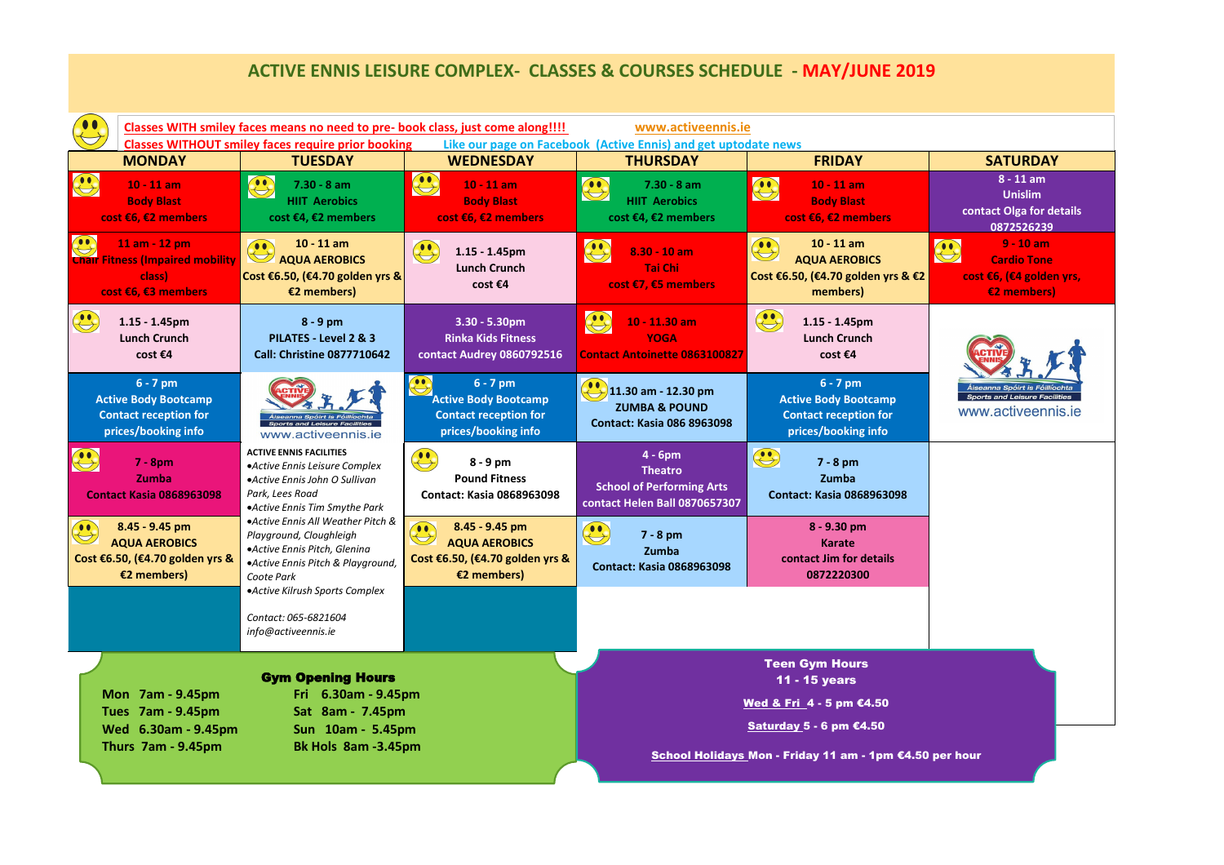## **ACTIVE ENNIS LEISURE COMPLEX- CLASSES & COURSES SCHEDULE - MAY/JUNE 2019**

| Classes WITH smiley faces means no need to pre- book class, just come along!!!!<br>www.activeennis.ie<br><b>Classes WITHOUT smiley faces require prior booking</b><br>Like our page on Facebook (Active Ennis) and get uptodate news |                                                                                                                                                         |                                                                                                                                                  |                                                                                                  |                                                                                                       |                                                                                                  |
|--------------------------------------------------------------------------------------------------------------------------------------------------------------------------------------------------------------------------------------|---------------------------------------------------------------------------------------------------------------------------------------------------------|--------------------------------------------------------------------------------------------------------------------------------------------------|--------------------------------------------------------------------------------------------------|-------------------------------------------------------------------------------------------------------|--------------------------------------------------------------------------------------------------|
| <b>MONDAY</b>                                                                                                                                                                                                                        | <b>TUESDAY</b>                                                                                                                                          | <b>WEDNESDAY</b>                                                                                                                                 | <b>THURSDAY</b>                                                                                  | <b>FRIDAY</b>                                                                                         | <b>SATURDAY</b>                                                                                  |
| $\bigodot$<br>$10 - 11$ am<br><b>Body Blast</b><br>cost €6, €2 members                                                                                                                                                               | $\bigoplus$<br>$7.30 - 8$ am<br><b>HIIT Aerobics</b><br>cost €4, €2 members                                                                             | $\bigodot$<br>$10 - 11$ am<br><b>Body Blast</b><br>cost €6, €2 members                                                                           | $\bigodot$<br>$7.30 - 8$ am<br><b>HIIT Aerobics</b><br>cost €4, €2 members                       | $\bigodot$<br>$10 - 11$ am<br><b>Body Blast</b><br>cost €6, €2 members                                | $8 - 11$ am<br><b>Unislim</b><br>contact Olga for details<br>0872526239                          |
| $\left( \begin{matrix} \bullet & \bullet \\ \bullet & \bullet \end{matrix} \right)$<br>11 am - 12 pm<br><b>Chair Fitness (Impaired mobility</b><br>class)<br>cost €6, €3 members                                                     | $10 - 11$ am<br>00<br><b>AQUA AEROBICS</b><br>Cost €6.50, (€4.70 golden yrs &<br>$\epsilon$ 2 members)                                                  | $\bigodot$<br>$1.15 - 1.45$ pm<br><b>Lunch Crunch</b><br>cost €4                                                                                 | $\bigodot$<br>$8.30 - 10$ am<br><b>Tai Chi</b><br>cost €7, €5 members                            | $10 - 11$ am<br>$\bigoplus$<br><b>AQUA AEROBICS</b><br>Cost €6.50, (€4.70 golden yrs & €2<br>members) | $9 - 10$ am<br>00<br>$\bigodot$<br><b>Cardio Tone</b><br>cost €6, (€4 golden yrs,<br>€2 members) |
| $1.15 - 1.45$ pm<br><b>Lunch Crunch</b><br>cost €4                                                                                                                                                                                   | $8 - 9$ pm<br>PILATES - Level 2 & 3<br><b>Call: Christine 0877710642</b>                                                                                | $3.30 - 5.30$ pm<br><b>Rinka Kids Fitness</b><br>contact Audrey 0860792516                                                                       | $\bigoplus$<br>$10 - 11.30$ am<br><b>YOGA</b><br><b>Contact Antoinette 0863100827</b>            | $\bigodot$<br>$1.15 - 1.45$ pm<br><b>Lunch Crunch</b><br>cost €4                                      |                                                                                                  |
| $6 - 7$ pm<br><b>Active Body Bootcamp</b><br><b>Contact reception for</b><br>prices/booking info                                                                                                                                     | Áiseanna Spóirt is Fóillíochta<br>Sports and Leisure Facilities<br>www.activeennis.ie                                                                   | $6 - 7$ pm<br><b>Active Body Bootcamp</b><br><b>Contact reception for</b><br>prices/booking info                                                 | $11.30$ am - 12.30 pm<br><b>ZUMBA &amp; POUND</b><br><b>Contact: Kasia 086 8963098</b>           | $6 - 7$ pm<br><b>Active Body Bootcamp</b><br><b>Contact reception for</b><br>prices/booking info      | Áiseanna Spóirt is Fóillíochta<br><b>Sports and Leisure Facilities</b><br>www.activeennis.ie     |
| $\bigodot$<br>$7 - 8pm$<br>Zumba<br><b>Contact Kasia 0868963098</b>                                                                                                                                                                  | <b>ACTIVE ENNIS FACILITIES</b><br>• Active Ennis Leisure Complex<br>• Active Ennis John O Sullivan<br>Park, Lees Road<br>• Active Ennis Tim Smythe Park | $\begin{pmatrix} \bullet & \bullet \\ \bullet & \bullet \end{pmatrix}$<br>$8 - 9$ pm<br><b>Pound Fitness</b><br><b>Contact: Kasia 0868963098</b> | $4 - 6pm$<br><b>Theatro</b><br><b>School of Performing Arts</b><br>contact Helen Ball 0870657307 | $\bigodot$<br>$7 - 8$ pm<br>Zumba<br><b>Contact: Kasia 0868963098</b>                                 |                                                                                                  |
| 8.45 - 9.45 pm<br><b>AQUA AEROBICS</b><br>Cost €6.50, (€4.70 golden yrs &<br>€2 members)                                                                                                                                             | • Active Ennis All Weather Pitch &<br>Playground, Cloughleigh<br>·Active Ennis Pitch, Glenina<br>• Active Ennis Pitch & Playground,<br>Coote Park       | 8.45 - 9.45 pm<br>$\bigodot$<br><b>AQUA AEROBICS</b><br>Cost €6.50, (€4.70 golden yrs &<br>$\epsilon$ 2 members)                                 | $\bigoplus$<br>$7 - 8$ pm<br>Zumba<br><b>Contact: Kasia 0868963098</b>                           | 8 - 9.30 pm<br><b>Karate</b><br>contact Jim for details<br>0872220300                                 |                                                                                                  |
|                                                                                                                                                                                                                                      | • Active Kilrush Sports Complex<br>Contact: 065-6821604<br>info@activeennis.ie                                                                          |                                                                                                                                                  |                                                                                                  |                                                                                                       |                                                                                                  |
| Mon 7am - 9.45pm                                                                                                                                                                                                                     | <b>Gym Opening Hours</b><br>Fri 6.30am - 9.45pm                                                                                                         |                                                                                                                                                  |                                                                                                  | <b>Teen Gym Hours</b><br>11 - 15 years<br>Wed & Fri 4 - 5 pm €4.50                                    |                                                                                                  |
| <b>Tues 7am - 9.45pm</b><br>Wed 6.30am - 9.45pm<br>Thurs 7am - 9.45pm                                                                                                                                                                | Sat 8am - 7.45pm<br>Sun 10am - 5.45pm<br>Bk Hols 8am -3.45pm                                                                                            |                                                                                                                                                  |                                                                                                  | Saturday 5 - 6 pm €4.50<br>School Holidays Mon - Friday 11 am - 1pm €4.50 per hour                    |                                                                                                  |